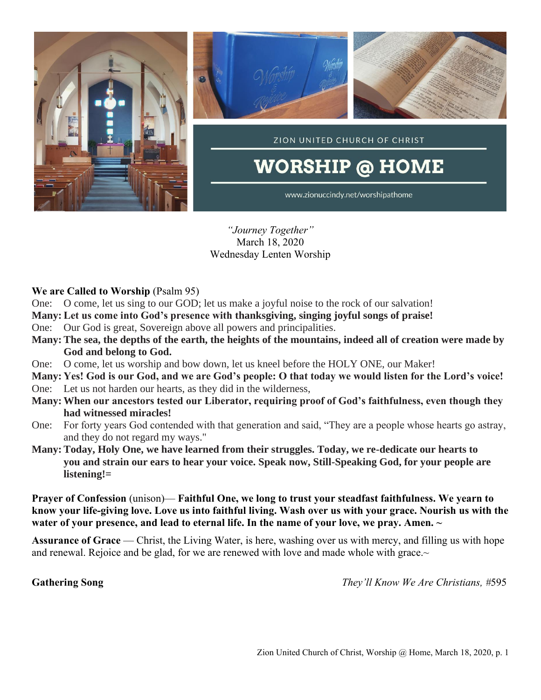

*"Journey Together"* March 18, 2020 Wednesday Lenten Worship

### **We are Called to Worship** (Psalm 95)

- One: O come, let us sing to our GOD; let us make a joyful noise to the rock of our salvation!
- **Many: Let us come into God's presence with thanksgiving, singing joyful songs of praise!**
- One: Our God is great, Sovereign above all powers and principalities.
- **Many: The sea, the depths of the earth, the heights of the mountains, indeed all of creation were made by God and belong to God.**
- One: O come, let us worship and bow down, let us kneel before the HOLY ONE, our Maker!
- **Many: Yes! God is our God, and we are God's people: O that today we would listen for the Lord's voice!** One: Let us not harden our hearts, as they did in the wilderness,
- **Many: When our ancestors tested our Liberator, requiring proof of God's faithfulness, even though they had witnessed miracles!**
- One: For forty years God contended with that generation and said, "They are a people whose hearts go astray, and they do not regard my ways."
- **Many: Today, Holy One, we have learned from their struggles. Today, we re-dedicate our hearts to you and strain our ears to hear your voice. Speak now, Still-Speaking God, for your people are listening!=**

**Prayer of Confession** (unison)— **Faithful One, we long to trust your steadfast faithfulness. We yearn to know your life-giving love. Love us into faithful living. Wash over us with your grace. Nourish us with the water of your presence, and lead to eternal life. In the name of your love, we pray. Amen. ~**

**Assurance of Grace** — Christ, the Living Water, is here, washing over us with mercy, and filling us with hope and renewal. Rejoice and be glad, for we are renewed with love and made whole with grace. $\sim$ 

**Gathering Song** *They'll Know We Are Christians, #*595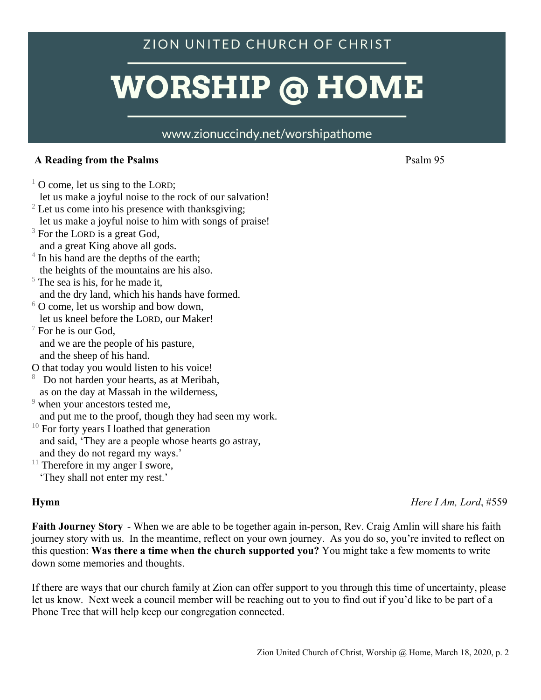# ZION UNITED CHURCH OF CHRIST

# **WORSHIP @ HOME**

# www.zionuccindy.net/worshipathome

## A Reading from the Psalms **Psalms** Psalm 95

- $1$  O come, let us sing to the LORD; let us make a joyful noise to the rock of our salvation!  $2$  Let us come into his presence with thanksgiving;
- let us make a joyful noise to him with songs of praise!
- $3$  For the LORD is a great God, and a great King above all gods.
- $4 \text{ In his hand are the depths of the earth};$ the heights of the mountains are his also.
- $5$  The sea is his, for he made it, and the dry land, which his hands have formed.
- $6$  O come, let us worship and bow down, let us kneel before the LORD, our Maker!
- $\sqrt{7}$  For he is our God, and we are the people of his pasture, and the sheep of his hand.
- O that today you would listen to his voice!
- 8 Do not harden your hearts, as at Meribah, as on the day at Massah in the wilderness,
- <sup>9</sup> when your ancestors tested me,
- and put me to the proof, though they had seen my work.
- $10$  For forty years I loathed that generation and said, 'They are a people whose hearts go astray,
- and they do not regard my ways.'
- $11$  Therefore in my anger I swore,
	- 'They shall not enter my rest.'

**Hymn** *Here I Am, Lord*, #559

**Faith Journey Story** - When we are able to be together again in-person, Rev. Craig Amlin will share his faith journey story with us. In the meantime, reflect on your own journey. As you do so, you're invited to reflect on this question: **Was there a time when the church supported you?** You might take a few moments to write down some memories and thoughts.

If there are ways that our church family at Zion can offer support to you through this time of uncertainty, please let us know. Next week a council member will be reaching out to you to find out if you'd like to be part of a Phone Tree that will help keep our congregation connected.